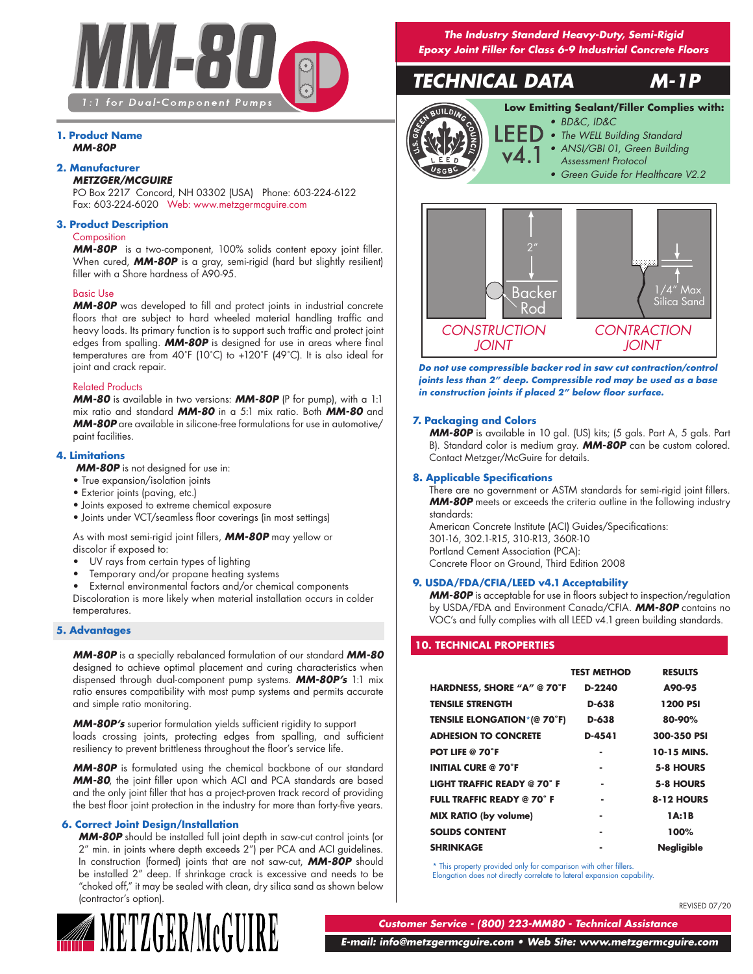

# **1. Product Name** *MM-80P*

# **2. Manufacturer**

# *METZGER/MCGUIRE*

PO Box 2217 Concord, NH 03302 (USA) Phone: 603-224-6122 Fax: 603-224-6020 Web: www.metzgermcguire.com

## **3. Product Description**

# **Composition**

*MM-80P* is a two-component, 100% solids content epoxy joint filler. When cured, *MM-80P* is a gray, semi-rigid (hard but slightly resilient) filler with a Shore hardness of A90-95.

# Basic Use

*MM-80P* was developed to fill and protect joints in industrial concrete floors that are subject to hard wheeled material handling traffic and heavy loads. Its primary function is to support such traffic and protect joint edges from spalling. *MM-80P* is designed for use in areas where final temperatures are from 40˚F (10˚C) to +120˚F (49˚C). It is also ideal for joint and crack repair.

### Related Products

*MM-80* is available in two versions: *MM-80P* (P for pump), with a 1:1 mix ratio and standard *MM-80* in a 5:1 mix ratio. Both *MM-80* and *MM-80P* are available in silicone-free formulations for use in automotive/ paint facilities.

## **4. Limitations**

*MM-80P* is not designed for use in:

- True expansion/isolation joints
- Exterior joints (paving, etc.)
- Joints exposed to extreme chemical exposure
- Joints under VCT/seamless floor coverings (in most settings)

As with most semi-rigid joint fillers, *MM-80P* may yellow or discolor if exposed to:

- UV rays from certain types of lighting
- Temporary and/or propane heating systems

• External environmental factors and/or chemical components Discoloration is more likely when material installation occurs in colder temperatures.

# **5. Advantages**

*MM-80P* is a specially rebalanced formulation of our standard *MM-80* designed to achieve optimal placement and curing characteristics when dispensed through dual-component pump systems. *MM-80P's* 1:1 mix ratio ensures compatibility with most pump systems and permits accurate and simple ratio monitoring.

*MM-80P's* superior formulation yields sufficient rigidity to support loads crossing joints, protecting edges from spalling, and sufficient resiliency to prevent brittleness throughout the floor's service life.

*MM-80P* is formulated using the chemical backbone of our standard *MM-80*, the joint filler upon which ACI and PCA standards are based and the only joint filler that has a project-proven track record of providing the best floor joint protection in the industry for more than forty-five years.

# **6. Correct Joint Design/Installation**

*MM-80P* should be installed full joint depth in saw-cut control joints (or 2" min. in joints where depth exceeds 2") per PCA and ACI guidelines. In construction (formed) joints that are not saw-cut, *MM-80P* should be installed 2" deep. If shrinkage crack is excessive and needs to be "choked off," it may be sealed with clean, dry silica sand as shown below (contractor's option).



*The Industry Standard Heavy-Duty, Semi-Rigid Epoxy Joint Filler for Class 6-9 Industrial Concrete Floors*

# *TECHNICAL DATA M-1P*



# *• BD&C, ID&C* **Low Emitting Sealant/Filler Complies with:**

- *• The WELL Building Standard*
- *• ANSI/GBI 01, Green Building Assessment Protocol*
- 
- *• Green Guide for Healthcare V2.2*



*Do not use compressible backer rod in saw cut contraction/control joints less than 2" deep. Compressible rod may be used as a base in construction joints if placed 2" below floor surface.*

### **7. Packaging and Colors**

*MM-80P* is available in 10 gal. (US) kits; (5 gals. Part A, 5 gals. Part B). Standard color is medium gray. *MM-80P* can be custom colored. Contact Metzger/McGuire for details.

### **8. Applicable Specifications**

There are no government or ASTM standards for semi-rigid joint fillers. **MM-80P** meets or exceeds the criteria outline in the following industry standards:

American Concrete Institute (ACI) Guides/Specifications: 301-16, 302.1-R15, 310-R13, 360R-10 Portland Cement Association (PCA): Concrete Floor on Ground, Third Edition 2008

### **9. USDA/FDA/CFIA/LEED v4.1 Acceptability**

*MM-80P* is acceptable for use in floors subject to inspection/regulation by USDA/FDA and Environment Canada/CFIA. *MM-80P* contains no VOC's and fully complies with all LEED v4.1 green building standards.

# **10. TECHNICAL PROPERTIES**

|                                    | <b>TEST METHOD</b> | <b>RESULTS</b>    |
|------------------------------------|--------------------|-------------------|
| HARDNESS, SHORE "A" @ 70°F         | D-2240             | A90-95            |
| <b>TENSILE STRENGTH</b>            | D-638              | 1200 PSI          |
| <b>TENSILE ELONGATION*(@ 70°F)</b> | D-638              | 80-90%            |
| <b>ADHESION TO CONCRETE</b>        | D-4541             | 300-350 PSI       |
| <b>POT LIFE @ 70°F</b>             |                    | 10-15 MINS.       |
| <b>INITIAL CURE @ 70°F</b>         | ۰                  | 5-8 HOURS         |
| <b>LIGHT TRAFFIC READY @ 70°F</b>  |                    | 5-8 HOURS         |
| <b>FULL TRAFFIC READY @ 70°F</b>   | ٠                  | 8-12 HOURS        |
| <b>MIX RATIO (by volume)</b>       | ۰                  | 1A:1B             |
| <b>SOLIDS CONTENT</b>              | ۰                  | 100%              |
| <b>SHRINKAGE</b>                   |                    | <b>Nealiaible</b> |

\* This property provided only for comparison with other fillers. Elongation does not directly correlate to lateral expansion capability.

REVISED 07/20

*Customer Service - (800) 223-MM80 - Technical Assistance*

 *E-mail: info@metzgermcguire.com • Web Site: www.metzgermcguire.com*